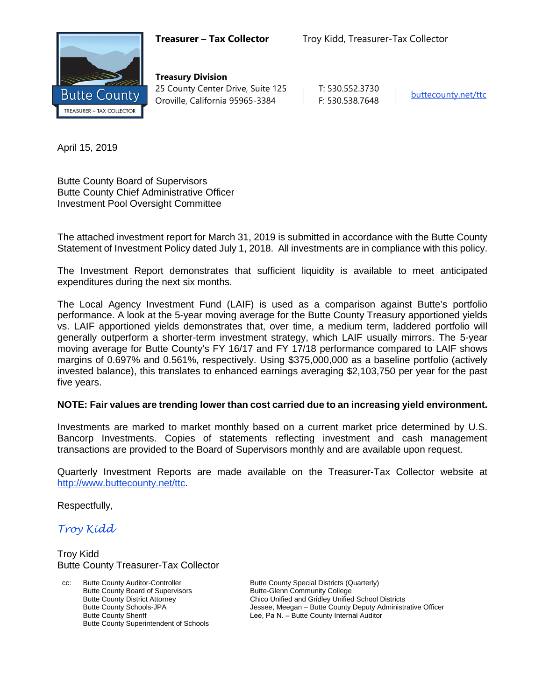

**Treasury Division** 25 County Center Drive, Suite 125 | T: 530.552.3730 Oroville, California 95965-3384 F: 530.538.7648 [buttecounty.net/t](http://www.buttecounty.net/administration)tc

April 15, 2019

Butte County Board of Supervisors Butte County Chief Administrative Officer Investment Pool Oversight Committee

The attached investment report for March 31, 2019 is submitted in accordance with the Butte County Statement of Investment Policy dated July 1, 2018. All investments are in compliance with this policy.

The Investment Report demonstrates that sufficient liquidity is available to meet anticipated expenditures during the next six months.

The Local Agency Investment Fund (LAIF) is used as a comparison against Butte's portfolio performance. A look at the 5-year moving average for the Butte County Treasury apportioned yields vs. LAIF apportioned yields demonstrates that, over time, a medium term, laddered portfolio will generally outperform a shorter-term investment strategy, which LAIF usually mirrors. The 5-year moving average for Butte County's FY 16/17 and FY 17/18 performance compared to LAIF shows margins of 0.697% and 0.561%, respectively. Using \$375,000,000 as a baseline portfolio (actively invested balance), this translates to enhanced earnings averaging \$2,103,750 per year for the past five years.

#### **NOTE: Fair values are trending lower than cost carried due to an increasing yield environment.**

Investments are marked to market monthly based on a current market price determined by U.S. Bancorp Investments. Copies of statements reflecting investment and cash management transactions are provided to the Board of Supervisors monthly and are available upon request.

Quarterly Investment Reports are made available on the Treasurer-Tax Collector website at <http://www.buttecounty.net/ttc>.

Respectfully,

*Troy Kidd*

Troy Kidd Butte County Treasurer-Tax Collector

cc: Butte County Auditor-Controller Butte County Board of Supervisors Butte County District Attorney Butte County Schools-JPA Butte County Sheriff Butte County Superintendent of Schools

Butte County Special Districts (Quarterly) Butte-Glenn Community College Chico Unified and Gridley Unified School Districts Jessee, Meegan – Butte County Deputy Administrative Officer Lee, Pa N. – Butte County Internal Auditor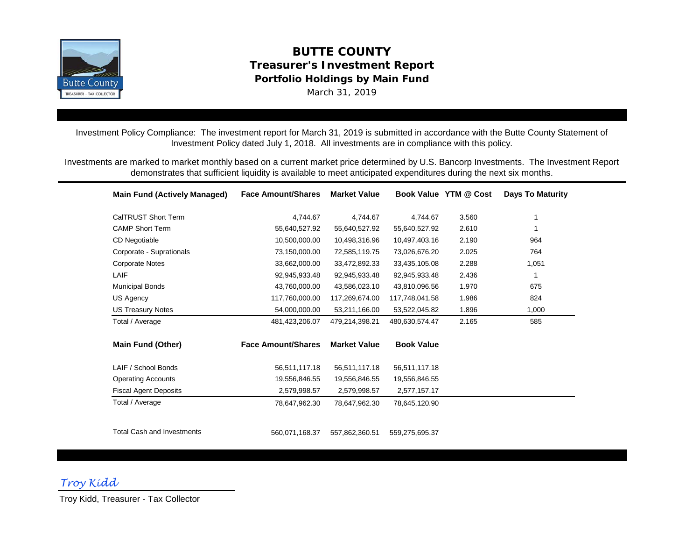

# **BUTTE COUNTY Treasurer's Investment Report Portfolio Holdings by Main Fund** March 31, 2019

Investment Policy Compliance: The investment report for March 31, 2019 is submitted in accordance with the Butte County Statement of Investment Policy dated July 1, 2018. All investments are in compliance with this policy.

Investments are marked to market monthly based on a current market price determined by U.S. Bancorp Investments. The Investment Report demonstrates that sufficient liquidity is available to meet anticipated expenditures during the next six months.

| <b>Main Fund (Actively Managed)</b> | <b>Face Amount/Shares</b> | <b>Market Value</b> |                   | Book Value YTM @ Cost | <b>Days To Maturity</b> |
|-------------------------------------|---------------------------|---------------------|-------------------|-----------------------|-------------------------|
| CalTRUST Short Term                 | 4,744.67                  | 4,744.67            | 4,744.67          | 3.560                 |                         |
| <b>CAMP Short Term</b>              | 55,640,527.92             | 55,640,527.92       | 55,640,527.92     | 2.610                 |                         |
| CD Negotiable                       | 10,500,000.00             | 10,498,316.96       | 10,497,403.16     | 2.190                 | 964                     |
| Corporate - Suprationals            | 73,150,000.00             | 72,585,119.75       | 73,026,676.20     | 2.025                 | 764                     |
| <b>Corporate Notes</b>              | 33,662,000.00             | 33,472,892.33       | 33,435,105.08     | 2.288                 | 1,051                   |
| LAIF                                | 92,945,933.48             | 92,945,933.48       | 92,945,933.48     | 2.436                 | 1                       |
| <b>Municipal Bonds</b>              | 43,760,000.00             | 43,586,023.10       | 43,810,096.56     | 1.970                 | 675                     |
| US Agency                           | 117,760,000.00            | 117,269,674.00      | 117,748,041.58    | 1.986                 | 824                     |
| <b>US Treasury Notes</b>            | 54,000,000.00             | 53,211,166.00       | 53,522,045.82     | 1.896                 | 1,000                   |
| Total / Average                     | 481,423,206.07            | 479,214,398.21      | 480,630,574.47    | 2.165                 | 585                     |
| <b>Main Fund (Other)</b>            | <b>Face Amount/Shares</b> | <b>Market Value</b> | <b>Book Value</b> |                       |                         |
| LAIF / School Bonds                 | 56,511,117.18             | 56,511,117.18       | 56,511,117.18     |                       |                         |
| <b>Operating Accounts</b>           | 19,556,846.55             | 19,556,846.55       | 19,556,846.55     |                       |                         |
| <b>Fiscal Agent Deposits</b>        | 2,579,998.57              | 2,579,998.57        | 2,577,157.17      |                       |                         |
| Total / Average                     | 78,647,962.30             | 78,647,962.30       | 78,645,120.90     |                       |                         |
| <b>Total Cash and Investments</b>   | 560,071,168.37            | 557,862,360.51      | 559,275,695.37    |                       |                         |

*Troy Kidd*

Troy Kidd, Treasurer - Tax Collector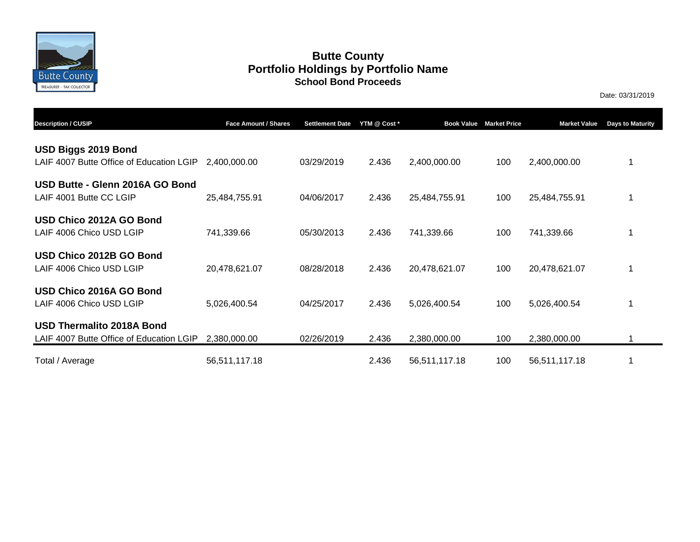

## **Butte County School Bond Proceeds Portfolio Holdings by Portfolio Name**

Date: 03/31/2019

| <b>Description / CUSIP</b>                                                   | Face Amount / Shares | <b>Settlement Date</b> | YTM @ Cost * | <b>Book Value</b> | <b>Market Price</b> | <b>Market Value</b> | <b>Days to Maturity</b> |
|------------------------------------------------------------------------------|----------------------|------------------------|--------------|-------------------|---------------------|---------------------|-------------------------|
| USD Biggs 2019 Bond<br>LAIF 4007 Butte Office of Education LGIP              | 2,400,000.00         | 03/29/2019             | 2.436        | 2,400,000.00      | 100                 | 2,400,000.00        |                         |
| USD Butte - Glenn 2016A GO Bond<br>LAIF 4001 Butte CC LGIP                   | 25,484,755.91        | 04/06/2017             | 2.436        | 25,484,755.91     | 100                 | 25,484,755.91       |                         |
| USD Chico 2012A GO Bond<br>LAIF 4006 Chico USD LGIP                          | 741,339.66           | 05/30/2013             | 2.436        | 741,339.66        | 100                 | 741,339.66          |                         |
| USD Chico 2012B GO Bond<br>LAIF 4006 Chico USD LGIP                          | 20,478,621.07        | 08/28/2018             | 2.436        | 20,478,621.07     | 100                 | 20,478,621.07       |                         |
| USD Chico 2016A GO Bond<br>LAIF 4006 Chico USD LGIP                          | 5,026,400.54         | 04/25/2017             | 2.436        | 5,026,400.54      | 100                 | 5,026,400.54        |                         |
| <b>USD Thermalito 2018A Bond</b><br>LAIF 4007 Butte Office of Education LGIP | 2,380,000.00         | 02/26/2019             | 2.436        | 2,380,000.00      | 100                 | 2,380,000.00        |                         |
| Total / Average                                                              | 56,511,117.18        |                        | 2.436        | 56,511,117.18     | 100                 | 56,511,117.18       |                         |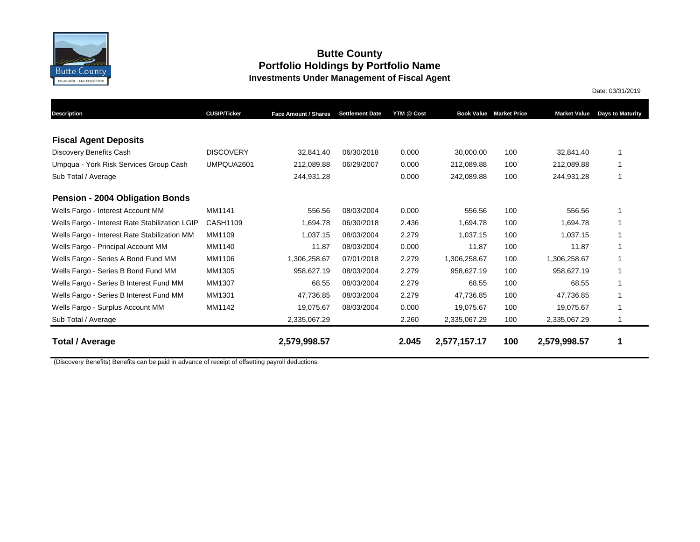

#### **Butte County Portfolio Holdings by Portfolio Name Investments Under Management of Fiscal Agent**

Date: 03/31/2019

**Description CUSIP/Ticker Settlement Date YTM @ Cost Book Value Market Price Market Value Days to Maturity Face Amount / Shares** Discovery Benefits Cash DISCOVERY 32,841.40 06/30/2018 0.000 30,000.00 100 32,841.40 1 Umpqua - York Risk Services Group Cash UMPQUA2601 212,089.88 06/29/2007 0.000 212,089.88 100 212,089.88 1 Sub Total / Average 244,931.28 0.000 242,089.88 100 244,931.28 1 Wells Fargo - Interest Account MM MM1141 6556.56 08/03/2004 0.000 556.56 100 556.56 100 Wells Fargo - Interest Rate Stabilization LGIP CASH1109 1,694.78 06/30/2018 2.436 1,694.78 100 1,694.78 100 Wells Fargo - Interest Rate Stabilization MM MM1109 1,037.15 08/03/2004 2.279 1,037.15 100 1,037.15 100 Wells Fargo - Principal Account MM MM1140 11.87 08/03/2004 0.000 11.87 100 11.87 1 Wells Fargo - Series A Bond Fund MM  $MM1106$  1,306,258.67 07/01/2018 2.279 1,306,258.67 100 1,306,258.67 1 Wells Fargo - Series B Bond Fund MM MM1305 958,627.19 08/03/2004 2.279 958,627.19 100 958,627.19 1 Wells Fargo - Series B Interest Fund MM MM1307 68.55 08/03/2004 2.279 68.55 100 68.55 100 Wells Fargo - Series B Interest Fund MM MM1301 47,736.85 08/03/2004 2.279 47,736.85 100 47,736.85 1 Wells Fargo - Surplus Account MM MM1142 19,075.67 08/03/2004 0.000 19,075.67 100 19,075.67 1 Sub Total / Average 2,335,067.29 2.260 2,335,067.29 100 2,335,067.29 1 **Total / Average 2,579,998.57 2.045 2,577,157.17 100 2,579,998.57 1 Pension - 2004 Obligation Bonds Fiscal Agent Deposits**

(Discovery Benefits) Benefits can be paid in advance of receipt of offsetting payroll deductions.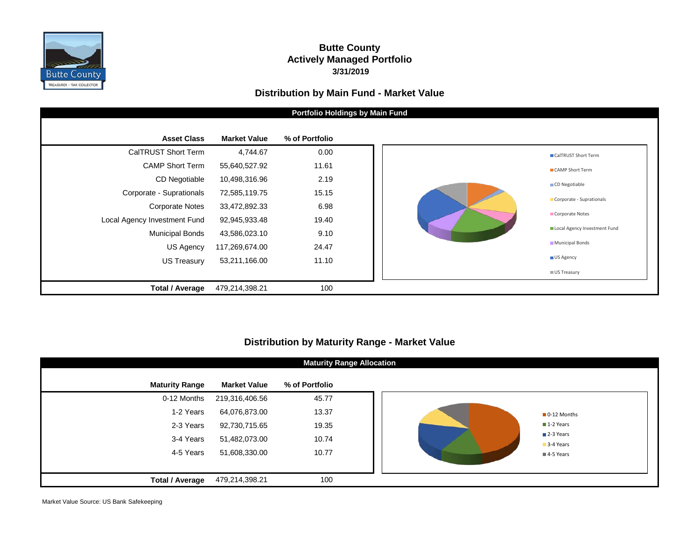

## **Butte County Actively Managed Portfolio 3/31/2019**

### **Distribution by Main Fund - Market Value**



## **Distribution by Maturity Range - Market Value**

| <b>Maturity Range Allocation</b> |                     |                |  |  |                        |  |  |  |
|----------------------------------|---------------------|----------------|--|--|------------------------|--|--|--|
| <b>Maturity Range</b>            | <b>Market Value</b> | % of Portfolio |  |  |                        |  |  |  |
| 0-12 Months                      | 219,316,406.56      | 45.77          |  |  |                        |  |  |  |
| 1-2 Years                        | 64,076,873.00       | 13.37          |  |  | O-12 Months            |  |  |  |
| 2-3 Years                        | 92,730,715.65       | 19.35          |  |  | 1-2 Years              |  |  |  |
| 3-4 Years                        | 51,482,073.00       | 10.74          |  |  | 2-3 Years              |  |  |  |
| 4-5 Years                        | 51,608,330.00       | 10.77          |  |  | 3-4 Years<br>4-5 Years |  |  |  |
|                                  |                     |                |  |  |                        |  |  |  |
| <b>Total / Average</b>           | 479,214,398.21      | 100            |  |  |                        |  |  |  |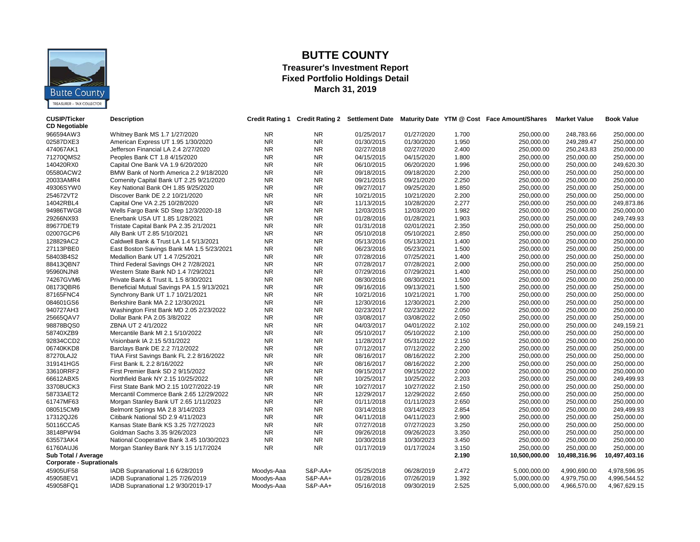

## **BUTTE COUNTY**

#### **Treasurer's Investment Report Fixed Portfolio Holdings Detail March 31, 2019**

| <b>CUSIP/Ticker</b>             | <b>Description</b>                         |            |           |            |            |       | Credit Rating 1 Credit Rating 2 Settlement Date Maturity Date YTM @ Cost Face Amount/Shares | <b>Market Value</b> | <b>Book Value</b> |
|---------------------------------|--------------------------------------------|------------|-----------|------------|------------|-------|---------------------------------------------------------------------------------------------|---------------------|-------------------|
| <b>CD Negotiable</b>            |                                            |            |           |            |            |       |                                                                                             |                     |                   |
| 966594AW3                       | Whitney Bank MS 1.7 1/27/2020              | NR.        | NR.       | 01/25/2017 | 01/27/2020 | 1.700 | 250,000.00                                                                                  | 248,783.66          | 250,000.00        |
| 02587DXE3                       | American Express UT 1.95 1/30/2020         | <b>NR</b>  | <b>NR</b> | 01/30/2015 | 01/30/2020 | 1.950 | 250,000.00                                                                                  | 249,289.47          | 250,000.00        |
| 474067AK1                       | Jefferson Financial LA 2.4 2/27/2020       | <b>NR</b>  | <b>NR</b> | 02/27/2018 | 02/27/2020 | 2.400 | 250,000.00                                                                                  | 250,243.83          | 250,000.00        |
| 71270QMS2                       | Peoples Bank CT 1.8 4/15/2020              | <b>NR</b>  | <b>NR</b> | 04/15/2015 | 04/15/2020 | 1.800 | 250,000.00                                                                                  | 250,000.00          | 250,000.00        |
| 140420RX0                       | Capital One Bank VA 1.9 6/20/2020          | <b>NR</b>  | <b>NR</b> | 06/10/2015 | 06/20/2020 | 1.996 | 250,000.00                                                                                  | 250,000.00          | 249,620.30        |
| 05580ACW2                       | BMW Bank of North America 2.2 9/18/2020    | <b>NR</b>  | <b>NR</b> | 09/18/2015 | 09/18/2020 | 2.200 | 250,000.00                                                                                  | 250,000.00          | 250,000.00        |
| 20033AMR4                       | Comenity Capital Bank UT 2.25 9/21/2020    | <b>NR</b>  | <b>NR</b> | 09/21/2015 | 09/21/2020 | 2.250 | 250,000.00                                                                                  | 250,000.00          | 250,000.00        |
| 49306SYW0                       | Key National Bank OH 1.85 9/25/2020        | <b>NR</b>  | NR.       | 09/27/2017 | 09/25/2020 | 1.850 | 250,000.00                                                                                  | 250,000.00          | 250,000.00        |
| 254672VT2                       | Discover Bank DE 2.2 10/21/2020            | <b>NR</b>  | <b>NR</b> | 10/21/2015 | 10/21/2020 | 2.200 | 250,000.00                                                                                  | 250,000.00          | 250,000.00        |
| 14042RBL4                       | Capital One VA 2.25 10/28/2020             | <b>NR</b>  | <b>NR</b> | 11/13/2015 | 10/28/2020 | 2.277 | 250,000.00                                                                                  | 250,000.00          | 249,873.86        |
| 94986TWG8                       | Wells Fargo Bank SD Step 12/3/2020-18      | <b>NR</b>  | <b>NR</b> | 12/03/2015 | 12/03/2020 | 1.982 | 250,000.00                                                                                  | 250,000.00          | 250,000.00        |
| 29266NX93                       | Enerbank USA UT 1.85 1/28/2021             | <b>NR</b>  | <b>NR</b> | 01/28/2016 | 01/28/2021 | 1.903 | 250.000.00                                                                                  | 250,000.00          | 249,749.93        |
| 89677DET9                       | Tristate Capital Bank PA 2.35 2/1/2021     | <b>NR</b>  | <b>NR</b> | 01/31/2018 | 02/01/2021 | 2.350 | 250,000.00                                                                                  | 250,000.00          | 250,000.00        |
| 02007GCP6                       | Ally Bank UT 2.85 5/10/2021                | <b>NR</b>  | <b>NR</b> | 05/10/2018 | 05/10/2021 | 2.850 | 250,000.00                                                                                  | 250,000.00          | 250,000.00        |
| 128829AC2                       | Caldwell Bank & Trust LA 1.4 5/13/2021     | <b>NR</b>  | <b>NR</b> | 05/13/2016 | 05/13/2021 | 1.400 | 250,000.00                                                                                  | 250,000.00          | 250,000.00        |
| 27113PBE0                       | East Boston Savings Bank MA 1.5 5/23/2021  | <b>NR</b>  | <b>NR</b> | 06/23/2016 | 05/23/2021 | 1.500 | 250,000.00                                                                                  | 250,000.00          | 250,000.00        |
| 58403B4S2                       | Medallion Bank UT 1.4 7/25/2021            | <b>NR</b>  | <b>NR</b> | 07/28/2016 | 07/25/2021 | 1.400 | 250,000.00                                                                                  | 250,000.00          | 250,000.00        |
| 88413QBN7                       | Third Federal Savings OH 2 7/28/2021       | <b>NR</b>  | <b>NR</b> | 07/28/2017 | 07/28/2021 | 2.000 | 250,000.00                                                                                  | 250,000.00          | 250,000.00        |
| 95960NJN8                       | Western State Bank ND 1.4 7/29/2021        | <b>NR</b>  | <b>NR</b> | 07/29/2016 | 07/29/2021 | 1.400 | 250,000.00                                                                                  | 250,000.00          | 250,000.00        |
| 74267GVM6                       | Private Bank & Trust IL 1.5 8/30/2021      | <b>NR</b>  | <b>NR</b> | 08/30/2016 | 08/30/2021 | 1.500 | 250,000.00                                                                                  | 250,000.00          | 250,000.00        |
| 08173QBR6                       | Beneficial Mutual Savings PA 1.5 9/13/2021 | <b>NR</b>  | <b>NR</b> | 09/16/2016 | 09/13/2021 | 1.500 | 250,000.00                                                                                  | 250,000.00          | 250,000.00        |
| 87165FNC4                       | Synchrony Bank UT 1.7 10/21/2021           | <b>NR</b>  | <b>NR</b> | 10/21/2016 | 10/21/2021 | 1.700 | 250,000.00                                                                                  | 250,000.00          | 250,000.00        |
| 084601GS6                       | Berkshire Bank MA 2.2 12/30/2021           | <b>NR</b>  | <b>NR</b> | 12/30/2016 | 12/30/2021 | 2.200 | 250,000.00                                                                                  | 250,000.00          | 250,000.00        |
| 940727AH3                       | Washington First Bank MD 2.05 2/23/2022    | <b>NR</b>  | <b>NR</b> | 02/23/2017 | 02/23/2022 | 2.050 | 250,000.00                                                                                  | 250,000.00          | 250,000.00        |
| 25665QAV7                       | Dollar Bank PA 2.05 3/8/2022               | <b>NR</b>  | <b>NR</b> | 03/08/2017 | 03/08/2022 | 2.050 | 250,000.00                                                                                  | 250,000.00          | 250,000.00        |
| 98878BQS0                       | ZBNA UT 2 4/1/2022                         | <b>NR</b>  | <b>NR</b> | 04/03/2017 | 04/01/2022 | 2.102 | 250,000.00                                                                                  | 250,000.00          | 249,159.21        |
| 58740XZB9                       | Mercantile Bank MI 2.1 5/10/2022           | <b>NR</b>  | <b>NR</b> | 05/10/2017 | 05/10/2022 | 2.100 | 250,000.00                                                                                  | 250,000.00          | 250,000.00        |
| 92834CCD2                       | Visionbank IA 2.15 5/31/2022               | NR.        | NR.       | 11/28/2017 | 05/31/2022 | 2.150 | 250,000.00                                                                                  | 250,000.00          | 250,000.00        |
| 06740KKD8                       | Barclays Bank DE 2.2 7/12/2022             | <b>NR</b>  | <b>NR</b> | 07/12/2017 | 07/12/2022 | 2.200 | 250,000.00                                                                                  | 250,000.00          | 250,000.00        |
| 87270LAJ2                       | TIAA First Savings Bank FL 2.2 8/16/2022   | <b>NR</b>  | <b>NR</b> | 08/16/2017 | 08/16/2022 | 2.200 | 250,000.00                                                                                  | 250,000.00          | 250,000.00        |
| 319141HG5                       | First Bank IL 2.2 8/16/2022                | <b>NR</b>  | <b>NR</b> | 08/16/2017 | 08/16/2022 | 2.200 | 250,000.00                                                                                  | 250,000.00          | 250,000.00        |
| 33610RRF2                       | First Premier Bank SD 2 9/15/2022          | <b>NR</b>  | <b>NR</b> | 09/15/2017 | 09/15/2022 | 2.000 | 250,000.00                                                                                  | 250,000.00          | 250,000.00        |
| 66612ABX5                       | Northfield Bank NY 2.15 10/25/2022         | <b>NR</b>  | <b>NR</b> | 10/25/2017 | 10/25/2022 | 2.203 | 250,000.00                                                                                  | 250,000.00          | 249,499.93        |
| 33708UCK3                       | First State Bank MO 2.15 10/27/2022-19     | <b>NR</b>  | <b>NR</b> | 10/27/2017 | 10/27/2022 | 2.150 | 250,000.00                                                                                  | 250,000.00          | 250,000.00        |
| 58733AET2                       | Mercantil Commerce Bank 2.65 12/29/2022    | <b>NR</b>  | <b>NR</b> | 12/29/2017 | 12/29/2022 | 2.650 | 250,000.00                                                                                  | 250,000.00          | 250,000.00        |
| 61747MF63                       | Morgan Stanley Bank UT 2.65 1/11/2023      | <b>NR</b>  | <b>NR</b> | 01/11/2018 | 01/11/2023 | 2.650 | 250,000.00                                                                                  | 250,000.00          | 250,000.00        |
| 080515CM9                       | Belmont Springs MA 2.8 3/14/2023           | <b>NR</b>  | <b>NR</b> | 03/14/2018 | 03/14/2023 | 2.854 | 250,000.00                                                                                  | 250,000.00          | 249,499.93        |
| 17312QJ26                       | Citibank National SD 2.9 4/11/2023         | <b>NR</b>  | <b>NR</b> | 04/11/2018 | 04/11/2023 | 2.900 | 250,000.00                                                                                  | 250,000.00          | 250,000.00        |
| 50116CCA5                       | Kansas State Bank KS 3.25 7/27/2023        | <b>NR</b>  | <b>NR</b> | 07/27/2018 | 07/27/2023 | 3.250 | 250,000.00                                                                                  | 250,000.00          | 250,000.00        |
| 38148PW94                       | Goldman Sachs 3.35 9/26/2023               | <b>NR</b>  | <b>NR</b> | 09/26/2018 | 09/26/2023 | 3.350 | 250,000.00                                                                                  | 250,000.00          | 250,000.00        |
| 635573AK4                       | National Cooperative Bank 3.45 10/30/2023  | <b>NR</b>  | <b>NR</b> | 10/30/2018 | 10/30/2023 | 3.450 | 250,000.00                                                                                  | 250,000.00          | 250,000.00        |
| 61760AUJ6                       | Morgan Stanley Bank NY 3.15 1/17/2024      | <b>NR</b>  | <b>NR</b> | 01/17/2019 | 01/17/2024 | 3.150 | 250,000.00                                                                                  | 250,000.00          | 250,000.00        |
| Sub Total / Average             |                                            |            |           |            |            | 2.190 | 10,500,000.00                                                                               | 10,498,316.96       | 10,497,403.16     |
| <b>Corporate - Suprationals</b> |                                            |            |           |            |            |       |                                                                                             |                     |                   |
| 45905UF58                       | IADB Supranational 1.6 6/28/2019           | Moodys-Aaa | S&P-AA+   | 05/25/2018 | 06/28/2019 | 2.472 | 5,000,000.00                                                                                | 4,990,690.00        | 4,978,596.95      |
| 459058EV1                       | IADB Supranational 1.25 7/26/2019          | Moodys-Aaa | S&P-AA+   | 01/28/2016 | 07/26/2019 | 1.392 | 5,000,000.00                                                                                | 4,979,750.00        | 4,996,544.52      |
| 459058FQ1                       | IADB Supranational 1.2 9/30/2019-17        | Moodys-Aaa | $S&P-AA+$ | 05/16/2018 | 09/30/2019 | 2.525 | 5,000,000.00                                                                                | 4,966,570.00        | 4,967,629.15      |
|                                 |                                            |            |           |            |            |       |                                                                                             |                     |                   |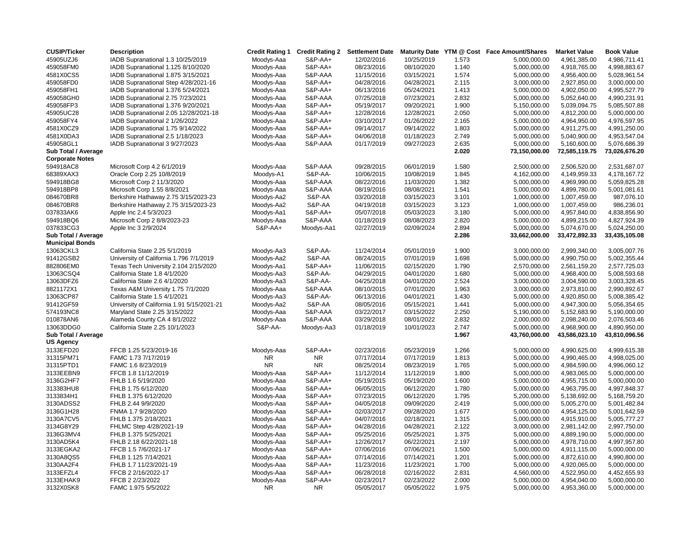| <b>CUSIP/Ticker</b>                           | <b>Description</b>                         | <b>Credit Rating 1</b> | <b>Credit Rating 2</b> | <b>Settlement Date</b> | <b>Maturity Date</b> |       | YTM @ Cost Face Amount/Shares | <b>Market Value</b> | <b>Book Value</b> |
|-----------------------------------------------|--------------------------------------------|------------------------|------------------------|------------------------|----------------------|-------|-------------------------------|---------------------|-------------------|
| 45905UZJ6                                     | IADB Supranational 1.3 10/25/2019          | Moodys-Aaa             | S&P-AA+                | 12/02/2016             | 10/25/2019           | 1.573 | 5,000,000.00                  | 4,961,385.00        | 4,986,711.41      |
| 459058FM0                                     | IADB Supranational 1.125 8/10/2020         | Moodys-Aaa             | S&P-AA+                | 08/23/2016             | 08/10/2020           | 1.140 | 5,000,000.00                  | 4,918,765.00        | 4,998,883.67      |
| 4581X0CS5                                     | IADB Supranational 1.875 3/15/2021         | Moodys-Aaa             | S&P-AAA                | 11/15/2016             | 03/15/2021           | 1.574 | 5,000,000.00                  | 4,956,400.00        | 5,028,961.54      |
| 459058FD0                                     | IADB Supranational Step 4/28/2021-16       | Moodys-Aaa             | S&P-AA+                | 04/28/2016             | 04/28/2021           | 2.115 | 3,000,000.00                  | 2,927,850.00        | 3,000,000.00      |
| 459058FH1                                     | IADB Supranational 1.376 5/24/2021         | Moodys-Aaa             | S&P-AA+                | 06/13/2016             | 05/24/2021           | 1.413 | 5,000,000.00                  | 4,902,050.00        | 4,995,527.79      |
| 459058GH0                                     | IADB Supranational 2.75 7/23/2021          | Moodys-Aaa             | S&P-AAA                | 07/25/2018             | 07/23/2021           | 2.832 | 5,000,000.00                  | 5,052,640.00        | 4,990,231.91      |
| 459058FP3                                     | IADB Supranational 1.376 9/20/2021         | Moodys-Aaa             | S&P-AA+                | 05/19/2017             | 09/20/2021           | 1.900 | 5,150,000.00                  | 5,039,094.75        | 5,085,507.88      |
| 45905UC28                                     | IADB Supranational 2.05 12/28/2021-18      | Moodys-Aaa             | S&P-AA+                | 12/28/2016             | 12/28/2021           | 2.050 | 5,000,000.00                  | 4,812,200.00        | 5,000,000.00      |
| 459058FY4                                     | IADB Supranational 2 1/26/2022             | Moodys-Aaa             | S&P-AA+                | 03/10/2017             | 01/26/2022           | 2.165 | 5,000,000.00                  | 4,964,950.00        | 4,976,597.95      |
| 4581X0CZ9                                     | IADB Supranational 1.75 9/14/2022          | Moodys-Aaa             | S&P-AA+                | 09/14/2017             | 09/14/2022           | 1.803 | 5,000,000.00                  | 4,911,275.00        | 4,991,250.00      |
| 4581X0DA3                                     | IADB Supranational 2.5 1/18/2023           | Moodys-Aaa             | S&P-AA+                | 04/06/2018             | 01/18/2023           | 2.749 | 5,000,000.00                  | 5,040,900.00        | 4,953,547.04      |
| 459058GL1                                     | IADB Supranational 3 9/27/2023             | Moodys-Aaa             | S&P-AAA                | 01/17/2019             | 09/27/2023           | 2.635 | 5,000,000.00                  | 5,160,600.00        | 5,076,686.39      |
| Sub Total / Average                           |                                            |                        |                        |                        |                      | 2.020 | 73,150,000.00                 | 72,585,119.75       | 73,026,676.20     |
| <b>Corporate Notes</b>                        |                                            |                        |                        |                        |                      |       |                               |                     |                   |
| 594918AC8                                     | Microsoft Corp 4.2 6/1/2019                | Moodys-Aaa             | S&P-AAA                | 09/28/2015             | 06/01/2019           | 1.580 | 2,500,000.00                  | 2,506,520.00        | 2,531,687.07      |
| 68389XAX3                                     | Oracle Corp 2.25 10/8/2019                 | Moodys-A1              | S&P-AA-                | 10/06/2015             | 10/08/2019           | 1.845 | 4,162,000.00                  | 4,149,959.33        | 4,178,167.72      |
| 594918BG8                                     | Microsoft Corp 2 11/3/2020                 | Moodys-Aaa             | S&P-AAA                | 08/22/2016             | 11/03/2020           | 1.382 | 5,000,000.00                  | 4,969,990.00        | 5,059,825.28      |
| 594918BP8                                     | Microsoft Corp 1.55 8/8/2021               | Moodys-Aaa             | S&P-AAA                | 08/19/2016             | 08/08/2021           | 1.541 | 5,000,000.00                  | 4,899,780.00        | 5,001,081.61      |
| 084670BR8                                     | Berkshire Hathaway 2.75 3/15/2023-23       | Moodys-Aa2             | S&P-AA                 | 03/20/2018             | 03/15/2023           | 3.101 | 1,000,000.00                  | 1,007,459.00        | 987,076.10        |
| 084670BR8                                     | Berkshire Hathaway 2.75 3/15/2023-23       | Moodys-Aa2             | S&P-AA                 | 04/19/2018             | 03/15/2023           | 3.123 | 1,000,000.00                  | 1,007,459.00        | 986,236.01        |
| 037833AK6                                     | Apple Inc 2.4 5/3/2023                     | Moodys-Aa1             | S&P-AA+                | 05/07/2018             | 05/03/2023           | 3.180 | 5,000,000.00                  | 4,957,840.00        | 4,838,856.90      |
| 594918BQ6                                     | Microsoft Corp 2 8/8/2023-23               | Moodys-Aaa             | S&P-AAA                | 01/18/2019             | 08/08/2023           | 2.820 | 5,000,000.00                  | 4,899,215.00        | 4,827,924.39      |
| 037833CG3                                     | Apple Inc 3 2/9/2024                       | S&P-AA+                | Moodys-Aa1             | 02/27/2019             | 02/09/2024           | 2.894 | 5,000,000.00                  | 5,074,670.00        | 5,024,250.00      |
|                                               |                                            |                        |                        |                        |                      | 2.286 | 33,662,000.00                 | 33,472,892.33       | 33,435,105.08     |
| Sub Total / Average<br><b>Municipal Bonds</b> |                                            |                        |                        |                        |                      |       |                               |                     |                   |
|                                               | California State 2.25 5/1/2019             |                        | S&P-AA-                |                        |                      |       |                               |                     |                   |
| 13063CKL3                                     |                                            | Moodys-Aa3             |                        | 11/24/2014             | 05/01/2019           | 1.900 | 3,000,000.00                  | 2,999,340.00        | 3,005,007.76      |
| 91412GSB2                                     | University of California 1.796 7/1/2019    | Moodys-Aa2             | S&P-AA                 | 08/24/2015             | 07/01/2019           | 1.698 | 5,000,000.00                  | 4,990,750.00        | 5,002,355.44      |
| 882806EM0                                     | Texas Tech University 2.104 2/15/2020      | Moodys-Aa1             | S&P-AA+                | 11/06/2015             | 02/15/2020           | 1.790 | 2,570,000.00                  | 2,561,159.20        | 2,577,725.03      |
| 13063CSQ4                                     | California State 1.8 4/1/2020              | Moodys-Aa3             | <b>S&amp;P-AA-</b>     | 04/29/2015             | 04/01/2020           | 1.680 | 5,000,000.00                  | 4,968,400.00        | 5,008,593.68      |
| 13063DFZ6                                     | California State 2.6 4/1/2020              | Moodys-Aa3             | S&P-AA-                | 04/25/2018             | 04/01/2020           | 2.524 | 3,000,000.00                  | 3,004,590.00        | 3,003,328.45      |
| 8821172X1                                     | Texas A&M University 1.75 7/1/2020         | Moodys-Aaa             | S&P-AAA                | 08/10/2015             | 07/01/2020           | 1.963 | 3,000,000.00                  | 2,973,810.00        | 2,990,892.67      |
| 13063CP87                                     | California State 1.5 4/1/2021              | Moodys-Aa3             | <b>S&amp;P-AA-</b>     | 06/13/2016             | 04/01/2021           | 1.430 | 5,000,000.00                  | 4,920,850.00        | 5,008,385.42      |
| 91412GF59                                     | University of California 1.91 5/15/2021-21 | Moodys-Aa2             | S&P-AA                 | 08/05/2016             | 05/15/2021           | 1.441 | 5,000,000.00                  | 4,947,300.00        | 5,056,354.65      |
| 574193NC8                                     | Maryland State 2.25 3/15/2022              | Moodys-Aaa             | S&P-AAA                | 03/22/2017             | 03/15/2022           | 2.250 | 5,190,000.00                  | 5,152,683.90        | 5,190,000.00      |
| 010878AN6                                     | Alameda County CA 4 8/1/2022               | Moodys-Aaa             | S&P-AAA                | 03/29/2018             | 08/01/2022           | 2.832 | 2,000,000.00                  | 2,098,240.00        | 2,076,503.46      |
| 13063DDG0                                     | California State 2.25 10/1/2023            | S&P-AA-                | Moodys-Aa3             | 01/18/2019             | 10/01/2023           | 2.747 | 5,000,000.00                  | 4,968,900.00        | 4,890,950.00      |
| Sub Total / Average                           |                                            |                        |                        |                        |                      | 1.967 | 43,760,000.00                 | 43,586,023.10       | 43,810,096.56     |
| <b>US Agency</b>                              |                                            |                        |                        |                        |                      |       |                               |                     |                   |
| 3133EFD20                                     | FFCB 1.25 5/23/2019-16                     | Moodys-Aaa             | S&P-AA+                | 02/23/2016             | 05/23/2019           | 1.266 | 5,000,000.00                  | 4,990,625.00        | 4,999,615.38      |
| 31315PM71                                     | FAMC 1.73 7/17/2019                        | <b>NR</b>              | <b>NR</b>              | 07/17/2014             | 07/17/2019           | 1.813 | 5,000,000.00                  | 4,990,465.00        | 4,998,025.00      |
| 31315PTD1                                     | FAMC 1.6 8/23/2019                         | <b>NR</b>              | <b>NR</b>              | 08/25/2014             | 08/23/2019           | 1.765 | 5,000,000.00                  | 4,984,590.00        | 4,996,060.12      |
| 3133EEBN9                                     | FFCB 1.8 11/12/2019                        | Moodys-Aaa             | S&P-AA+                | 11/12/2014             | 11/12/2019           | 1.800 | 5,000,000.00                  | 4,983,065.00        | 5,000,000.00      |
| 3136G2HF7                                     | FHLB 1.6 5/19/2020                         | Moodys-Aaa             | S&P-AA+                | 05/19/2015             | 05/19/2020           | 1.600 | 5,000,000.00                  | 4,955,715.00        | 5,000,000.00      |
| 313383HU8                                     | FHLB 1.75 6/12/2020                        | Moodys-Aaa             | S&P-AA+                | 06/05/2015             | 06/12/2020           | 1.780 | 5,000,000.00                  | 4,963,795.00        | 4,997,848.37      |
| 3133834H1                                     | FHLB 1.375 6/12/2020                       | Moodys-Aaa             | S&P-AA+                | 07/23/2015             | 06/12/2020           | 1.795 | 5,200,000.00                  | 5,138,692.00        | 5,168,759.20      |
| 3130ADSS2                                     | FHLB 2.44 9/9/2020                         | Moodys-Aaa             | S&P-AA+                | 04/05/2018             | 09/09/2020           | 2.419 | 5,000,000.00                  | 5,005,270.00        | 5,001,482.84      |
| 3136G1H28                                     | FNMA 1.7 9/28/2020                         | Moodys-Aaa             | S&P-AA+                | 02/03/2017             | 09/28/2020           | 1.677 | 5,000,000.00                  | 4,954,125.00        | 5,001,642.59      |
| 3130A7CV5                                     | FHLB 1.375 2/18/2021                       | Moodys-Aaa             | S&P-AA+                | 04/07/2016             | 02/18/2021           | 1.315 | 5,000,000.00                  | 4,915,910.00        | 5,005,777.27      |
| 3134G8Y29                                     | FHLMC Step 4/28/2021-19                    | Moodys-Aaa             | S&P-AA+                | 04/28/2016             | 04/28/2021           | 2.122 | 3,000,000.00                  | 2,981,142.00        | 2,997,750.00      |
| 3136G3MV4                                     | FHLB 1.375 5/25/2021                       | Moodys-Aaa             | S&P-AA+                | 05/25/2016             | 05/25/2021           | 1.375 | 5,000,000.00                  | 4,889,190.00        | 5,000,000.00      |
| 3130AD5K4                                     | FHLB 2.18 6/22/2021-18                     | Moodys-Aaa             | S&P-AA+                | 12/26/2017             | 06/22/2021           | 2.197 | 5,000,000.00                  | 4,978,710.00        | 4,997,957.80      |
| 3133EGKA2                                     | FFCB 1.5 7/6/2021-17                       | Moodys-Aaa             | S&P-AA+                | 07/06/2016             | 07/06/2021           | 1.500 | 5,000,000.00                  | 4,911,115.00        | 5,000,000.00      |
| 3130A8QS5                                     | FHLB 1.125 7/14/2021                       | Moodys-Aaa             | S&P-AA+                | 07/14/2016             | 07/14/2021           | 1.201 | 5,000,000.00                  | 4,872,610.00        | 4,990,800.00      |
| 3130AA2F4                                     | FHLB 1.7 11/23/2021-19                     | Moodys-Aaa             | S&P-AA+                | 11/23/2016             | 11/23/2021           | 1.700 | 5,000,000.00                  | 4,920,065.00        | 5,000,000.00      |
| 3133EFZL4                                     | FFCB 2 2/16/2022-17                        | Moodys-Aaa             | S&P-AA+                | 06/28/2018             | 02/16/2022           | 2.831 | 4,560,000.00                  | 4,522,950.00        | 4,452,655.93      |
| 3133EHAK9                                     | FFCB 2 2/23/2022                           | Moodys-Aaa             | S&P-AA+                | 02/23/2017             | 02/23/2022           | 2.000 | 5,000,000.00                  | 4,954,040.00        | 5,000,000.00      |
| 3132X0SK8                                     | FAMC 1.975 5/5/2022                        | <b>NR</b>              | <b>NR</b>              | 05/05/2017             | 05/05/2022           | 1.975 | 5,000,000.00                  | 4,953,360.00        | 5,000,000.00      |
|                                               |                                            |                        |                        |                        |                      |       |                               |                     |                   |